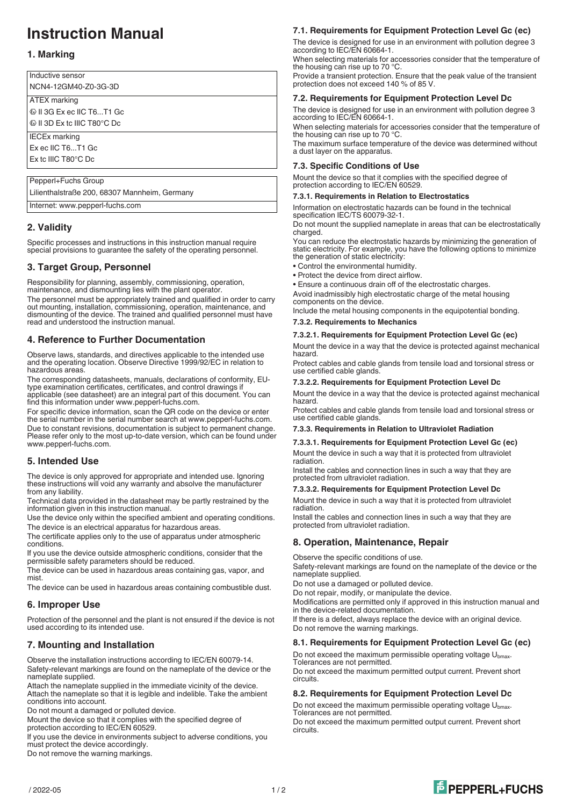# **Instruction Manual**

## **1. Marking**

| Inductive sensor                 |
|----------------------------------|
| NCN4-12GM40-Z0-3G-3D             |
| ATEX marking                     |
|                                  |
| ⓒ II 3D Ex tc IIIC T80°C Dc      |
| <b>IECEx marking</b>             |
| Ex ec IIC T6T1 Gc                |
| $Ex$ tc IIIC T80 $^{\circ}$ C Dc |
|                                  |

Pepperl+Fuchs Group Lilienthalstraße 200, 68307 Mannheim, Germany Internet: www.pepperl-fuchs.com

## **2. Validity**

Specific processes and instructions in this instruction manual require special provisions to quarantee the safety of the operating personnel.

## **3. Target Group, Personnel**

Responsibility for planning, assembly, commissioning, operation, maintenance, and dismounting lies with the plant operator. The personnel must be appropriately trained and qualified in order to carry out mounting, installation, commissioning, operation, maintenance, and dismounting of the device. The trained and qualified personnel must have read and understood the instruction manual.

## **4. Reference to Further Documentation**

Observe laws, standards, and directives applicable to the intended use and the operating location. Observe Directive 1999/92/EC in relation to hazardous areas.

The corresponding datasheets, manuals, declarations of conformity, EUtype examination certificates, certificates, and control drawings if applicable (see datasheet) are an integral part of this document. You can find this information under www.pepperl-fuchs.com.

For specific device information, scan the QR code on the device or enter the serial number in the serial number search at www.pepperl-fuchs.com. Due to constant revisions, documentation is subject to permanent change. Please refer only to the most up-to-date version, which can be found under www.pepperl-fuchs.com.

## **5. Intended Use**

The device is only approved for appropriate and intended use. Ignoring these instructions will void any warranty and absolve the manufacturer from any liability.

Technical data provided in the datasheet may be partly restrained by the information given in this instruction manual.

Use the device only within the specified ambient and operating conditions. The device is an electrical apparatus for hazardous areas.

The certificate applies only to the use of apparatus under atmospheric conditions.

If you use the device outside atmospheric conditions, consider that the permissible safety parameters should be reduced.

The device can be used in hazardous areas containing gas, vapor, and mist.

The device can be used in hazardous areas containing combustible dust.

## **6. Improper Use**

Protection of the personnel and the plant is not ensured if the device is not used according to its intended use.

## **7. Mounting and Installation**

Observe the installation instructions according to IEC/EN 60079-14. Safety-relevant markings are found on the nameplate of the device or the nameplate supplied.

Attach the nameplate supplied in the immediate vicinity of the device. Attach the nameplate so that it is legible and indelible. Take the ambient conditions into account.

Do not mount a damaged or polluted device.

Mount the device so that it complies with the specified degree of protection according to IEC/EN 60529.

If you use the device in environments subject to adverse conditions, you must protect the device accordingly.

Do not remove the warning markings.

## **7.1. Requirements for Equipment Protection Level Gc (ec)**

The device is designed for use in an environment with pollution degree 3 according to IEC/EN 60664-1.

When selecting materials for accessories consider that the temperature of the housing can rise up to 70 °C.

Provide a transient protection. Ensure that the peak value of the transient protection does not exceed 140 % of 85 V.

#### **7.2. Requirements for Equipment Protection Level Dc**

The device is designed for use in an environment with pollution degree 3 according to IEC/EN 60664-1.

When selecting materials for accessories consider that the temperature of the housing can rise up to 70 °C. The maximum surface temperature of the device was determined without a dust layer on the apparatus.

## **7.3. Specific Conditions of Use**

Mount the device so that it complies with the specified degree of protection according to IEC/EN 60529.

#### **7.3.1. Requirements in Relation to Electrostatics**

Information on electrostatic hazards can be found in the technical specification IEC/TS 60079-32-1.

Do not mount the supplied nameplate in areas that can be electrostatically charged.

You can reduce the electrostatic hazards by minimizing the generation of static electricity. For example, you have the following options to minimize the generation of static electricity:

- Control the environmental humidity.
- Protect the device from direct airflow.

• Ensure a continuous drain off of the electrostatic charges. Avoid inadmissibly high electrostatic charge of the metal housing components on the device.

Include the metal housing components in the equipotential bonding.

#### **7.3.2. Requirements to Mechanics**

#### **7.3.2.1. Requirements for Equipment Protection Level Gc (ec)**

Mount the device in a way that the device is protected against mechanical hazard.

Protect cables and cable glands from tensile load and torsional stress or use certified cable glands.

#### **7.3.2.2. Requirements for Equipment Protection Level Dc**

Mount the device in a way that the device is protected against mechanical hazard.

Protect cables and cable glands from tensile load and torsional stress or use certified cable glands.

#### **7.3.3. Requirements in Relation to Ultraviolet Radiation**

**7.3.3.1. Requirements for Equipment Protection Level Gc (ec)**

Mount the device in such a way that it is protected from ultraviolet radiation.

Install the cables and connection lines in such a way that they are protected from ultraviolet radiation.

#### **7.3.3.2. Requirements for Equipment Protection Level Dc**

Mount the device in such a way that it is protected from ultraviolet radiation.

Install the cables and connection lines in such a way that they are protected from ultraviolet radiation.

### **8. Operation, Maintenance, Repair**

Observe the specific conditions of use.

Safety-relevant markings are found on the nameplate of the device or the nameplate supplied.

Do not use a damaged or polluted device.

Do not repair, modify, or manipulate the device.

Modifications are permitted only if approved in this instruction manual and in the device-related documentation.

If there is a defect, always replace the device with an original device. Do not remove the warning markings.

## **8.1. Requirements for Equipment Protection Level Gc (ec)**

Do not exceed the maximum permissible operating voltage  $U_{bmax}$ Tolerances are not permitted.

Do not exceed the maximum permitted output current. Prevent short circuits.

## **8.2. Requirements for Equipment Protection Level Dc**

Do not exceed the maximum permissible operating voltage U<sub>bmax</sub>. Tolerances are not permitted.

Do not exceed the maximum permitted output current. Prevent short circuits